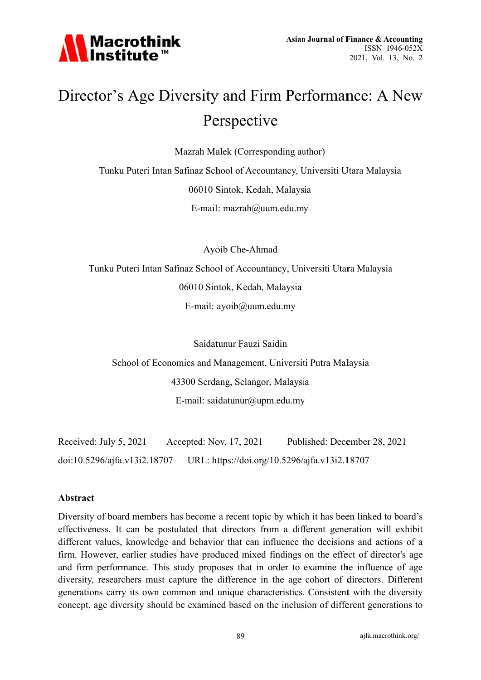

## Director's Age Diversity and Firm Performance: A New Perspective

Mazrah Malek (Corresponding author)

Tunku Puteri Intan Safinaz School of Accountancy, Universiti Utara Malaysia 06010 Sintok, Kedah, Malaysia E-mail:  $maxrah@uum.edu.my$ 

Ayoib Che-Ahmad

Tunku Puteri Intan Safinaz School of Accountancy, Universiti Utara Malaysia 06010 Sintok, Kedah, Malaysia E-mail: ayoib@uum.edu.my

Saidatunur Fauzi Saidin

School of Economics and Management, Universiti Putra Malaysia 43300 Serdang, Selangor, Malaysia E-mail: saidatunur@upm.edu.my

Received: July 5, 2021 Accepted: Nov. 17, 2021 Published: December 28, 2021 doi:10.5296/ajfa.v13i2.18707 URL: https://doi.org/10.5296/ajfa.v13i2.18707

#### **Abstract**

Diversity of board members has become a recent topic by which it has been linked to board's effectiveness. It can be postulated that directors from a different generation will exhibit different values, knowledge and behavior that can influence the decisions and actions of a firm. However, earlier studies have produced mixed findings on the effect of director's age and firm performance. This study proposes that in order to examine the influence of age diversity, researchers must capture the difference in the age cohort of directors. Different generations carry its own common and unique characteristics. Consistent with the diversity concept, age diversity should be examined based on the inclusion of different generations to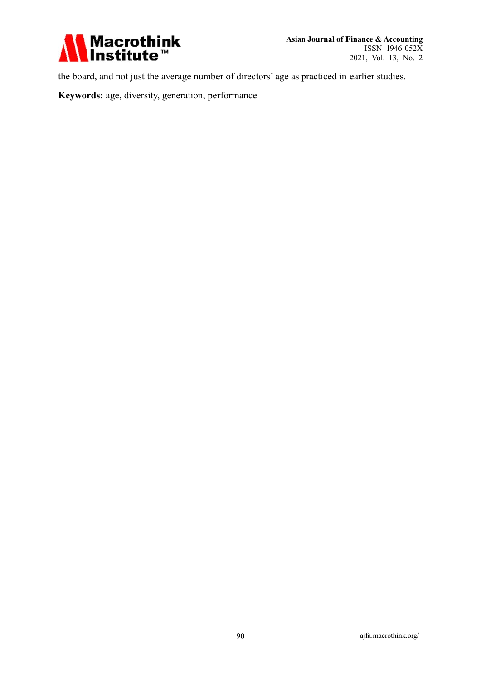

the board, and not just the average number of directors' age as practiced in earlier studies.

Keywords: age, diversity, generation, performance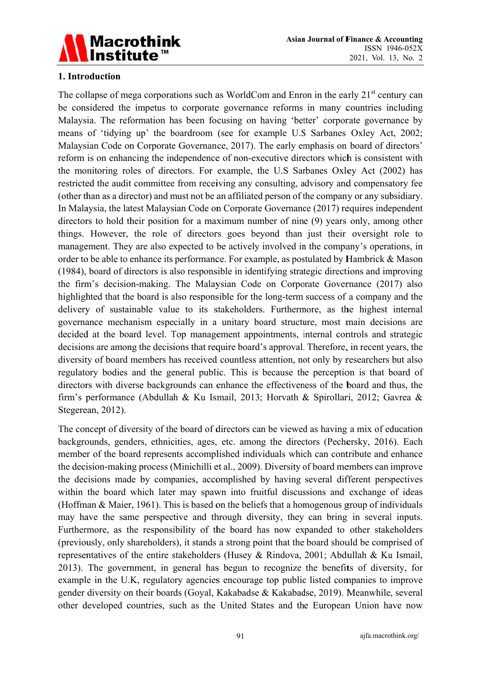

#### 1. Introduction

The collapse of mega corporations such as WorldCom and Enron in the early 21<sup>st</sup> century can be considered the impetus to corporate governance reforms in many countries including Malaysia. The reformation has been focusing on having 'better' corporate governance by means of 'tidying up' the boardroom (see for example U.S Sarbanes Oxley Act, 2002; Malaysian Code on Corporate Governance, 2017). The early emphasis on board of directors' reform is on enhancing the independence of non-executive directors which is consistent with the monitoring roles of directors. For example, the U.S Sarbanes Oxley Act (2002) has restricted the audit committee from receiving any consulting, advisory and compensatory fee (other than as a director) and must not be an affiliated person of the company or any subsidiary. In Malaysia, the latest Malaysian Code on Corporate Governance (2017) requires independent directors to hold their position for a maximum number of nine (9) years only, among other things. However, the role of directors goes beyond than just their oversight role to management. They are also expected to be actively involved in the company's operations, in order to be able to enhance its performance. For example, as postulated by Hambrick & Mason (1984), board of directors is also responsible in identifying strategic directions and improving the firm's decision-making. The Malaysian Code on Corporate Governance (2017) also highlighted that the board is also responsible for the long-term success of a company and the delivery of sustainable value to its stakeholders. Furthermore, as the highest internal governance mechanism especially in a unitary board structure, most main decisions are decided at the board level. Top management appointments, internal controls and strategic decisions are among the decisions that require board's approval. Therefore, in recent years, the diversity of board members has received countless attention, not only by researchers but also regulatory bodies and the general public. This is because the perception is that board of directors with diverse backgrounds can enhance the effectiveness of the board and thus, the firm's performance (Abdullah & Ku Ismail, 2013; Horvath & Spirollari, 2012; Gavrea & Stegerean, 2012).

The concept of diversity of the board of directors can be viewed as having a mix of education backgrounds, genders, ethnicities, ages, etc. among the directors (Pechersky, 2016). Each member of the board represents accomplished individuals which can contribute and enhance the decision-making process (Minichilli et al., 2009). Diversity of board members can improve the decisions made by companies, accomplished by having several different perspectives within the board which later may spawn into fruitful discussions and exchange of ideas (Hoffman & Maier, 1961). This is based on the beliefs that a homogenous group of individuals may have the same perspective and through diversity, they can bring in several inputs. Furthermore, as the responsibility of the board has now expanded to other stakeholders (previously, only shareholders), it stands a strong point that the board should be comprised of representatives of the entire stakeholders (Husey & Rindova, 2001; Abdullah & Ku Ismail, 2013). The government, in general has begun to recognize the benefits of diversity, for example in the U.K, regulatory agencies encourage top public listed companies to improve gender diversity on their boards (Goyal, Kakabadse & Kakabadse, 2019). Meanwhile, several other developed countries, such as the United States and the European Union have now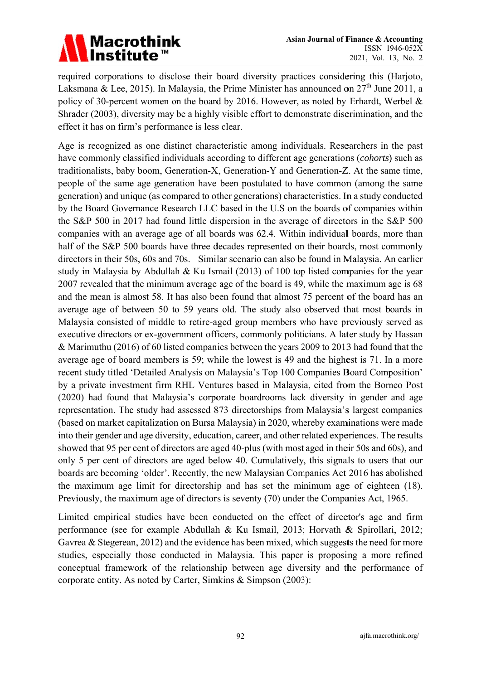

required corporations to disclose their board diversity practices considering this (Harjoto, Laksmana & Lee, 2015). In Malaysia, the Prime Minister has announced on  $27<sup>th</sup>$  June 2011, a policy of 30-percent women on the board by 2016. However, as noted by Erhardt, Werbel & Shrader (2003), diversity may be a highly visible effort to demonstrate discrimination, and the effect it has on firm's performance is less clear.

Age is recognized as one distinct characteristic among individuals. Researchers in the past have commonly classified individuals according to different age generations (cohorts) such as traditionalists, baby boom, Generation-X, Generation-Y and Generation-Z. At the same time, people of the same age generation have been postulated to have common (among the same generation) and unique (as compared to other generations) characteristics. In a study conducted by the Board Governance Research LLC based in the U.S on the boards of companies within the S&P 500 in 2017 had found little dispersion in the average of directors in the S&P 500 companies with an average age of all boards was 62.4. Within individual boards, more than half of the S&P 500 boards have three decades represented on their boards, most commonly directors in their 50s, 60s and 70s. Similar scenario can also be found in Malaysia. An earlier study in Malaysia by Abdullah & Ku Ismail (2013) of 100 top listed companies for the year 2007 revealed that the minimum average age of the board is 49, while the maximum age is 68 and the mean is almost 58. It has also been found that almost 75 percent of the board has an average age of between 50 to 59 years old. The study also observed that most boards in Malaysia consisted of middle to retire-aged group members who have previously served as executive directors or ex-government officers, commonly politicians. A later study by Hassan & Marimuthu (2016) of 60 listed companies between the years 2009 to 2013 had found that the average age of board members is 59; while the lowest is 49 and the highest is 71. In a more recent study titled 'Detailed Analysis on Malaysia's Top 100 Companies Board Composition' by a private investment firm RHL Ventures based in Malaysia, cited from the Borneo Post (2020) had found that Malaysia's corporate boardrooms lack diversity in gender and age representation. The study had assessed 873 directorships from Malaysia's largest companies (based on market capitalization on Bursa Malaysia) in 2020, whereby examinations were made into their gender and age diversity, education, career, and other related experiences. The results showed that 95 per cent of directors are aged 40-plus (with most aged in their 50s and 60s), and only 5 per cent of directors are aged below 40. Cumulatively, this signals to users that our boards are becoming 'older'. Recently, the new Malaysian Companies Act 2016 has abolished the maximum age limit for directorship and has set the minimum age of eighteen (18). Previously, the maximum age of directors is seventy (70) under the Companies Act, 1965.

Limited empirical studies have been conducted on the effect of director's age and firm performance (see for example Abdullah & Ku Ismail, 2013; Horvath & Spirollari, 2012; Gavrea & Stegerean,  $2012$ ) and the evidence has been mixed, which suggests the need for more studies, especially those conducted in Malaysia. This paper is proposing a more refined conceptual framework of the relationship between age diversity and the performance of corporate entity. As noted by Carter, Simkins & Simpson (2003):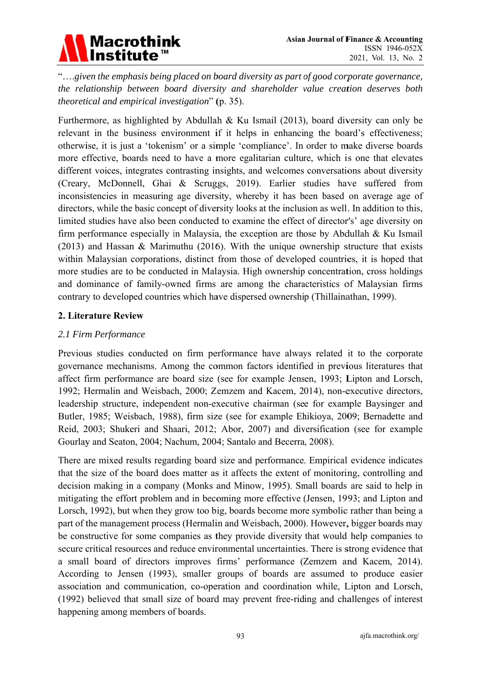

"....given the emphasis being placed on board diversity as part of good corporate governance, the relationship between board diversity and shareholder value creation deserves both theoretical and empirical investigation" (p. 35).

Furthermore, as highlighted by Abdullah & Ku Ismail (2013), board diversity can only be relevant in the business environment if it helps in enhancing the board's effectiveness; otherwise, it is just a 'tokenism' or a simple 'compliance'. In order to make diverse boards more effective, boards need to have a more egalitarian culture, which is one that elevates different voices, integrates contrasting insights, and welcomes conversations about diversity (Creary, McDonnell, Ghai & Scruggs, 2019). Earlier studies have suffered from inconsistencies in measuring age diversity, whereby it has been based on average age of directors, while the basic concept of diversity looks at the inclusion as well. In addition to this, limited studies have also been conducted to examine the effect of director's' age diversity on firm performance especially in Malaysia, the exception are those by Abdullah & Ku Ismail  $(2013)$  and Hassan & Marimuthu (2016). With the unique ownership structure that exists within Malaysian corporations, distinct from those of developed countries, it is hoped that more studies are to be conducted in Malaysia. High ownership concentration, cross holdings and dominance of family-owned firms are among the characteristics of Malaysian firms contrary to developed countries which have dispersed ownership (Thillainathan, 1999).

#### 2. Literature Review

#### 2.1 Firm Performance

Previous studies conducted on firm performance have always related it to the corporate governance mechanisms. Among the common factors identified in previous literatures that affect firm performance are board size (see for example Jensen, 1993; Lipton and Lorsch, 1992; Hermalin and Weisbach, 2000; Zemzem and Kacem, 2014), non-executive directors, leadership structure, independent non-executive chairman (see for example Baysinger and Butler, 1985; Weisbach, 1988), firm size (see for example Ehikioya, 2009; Bernadette and Reid, 2003; Shukeri and Shaari, 2012; Abor, 2007) and diversification (see for example Gourlay and Seaton, 2004; Nachum, 2004; Santalo and Becerra, 2008).

There are mixed results regarding board size and performance. Empirical evidence indicates that the size of the board does matter as it affects the extent of monitoring, controlling and decision making in a company (Monks and Minow, 1995). Small boards are said to help in mitigating the effort problem and in becoming more effective (Jensen, 1993; and Lipton and Lorsch, 1992), but when they grow too big, boards become more symbolic rather than being a part of the management process (Hermalin and Weisbach, 2000). However, bigger boards may be constructive for some companies as they provide diversity that would help companies to secure critical resources and reduce environmental uncertainties. There is strong evidence that a small board of directors improves firms' performance (Zemzem and Kacem, 2014). According to Jensen (1993), smaller groups of boards are assumed to produce easier association and communication, co-operation and coordination while, Lipton and Lorsch, (1992) believed that small size of board may prevent free-riding and challenges of interest happening among members of boards.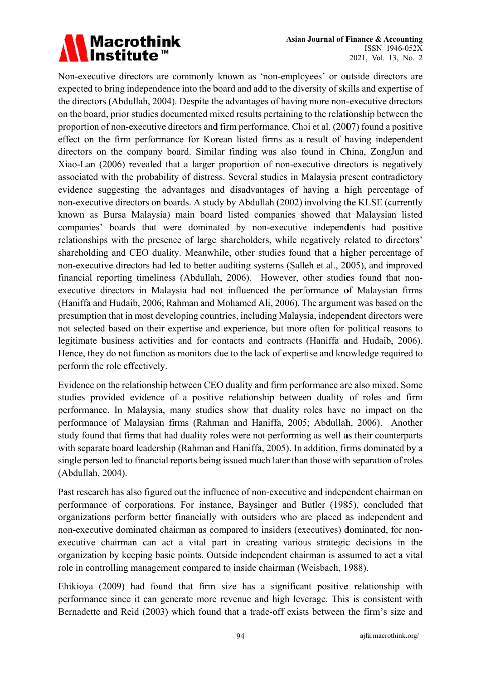# Macrothink<br>Institute™

Non-executive directors are commonly known as 'non-employees' or outside directors are expected to bring independence into the board and add to the diversity of skills and expertise of the directors (Abdullah, 2004). Despite the advantages of having more non-executive directors on the board, prior studies documented mixed results pertaining to the relationship between the proportion of non-executive directors and firm performance. Choi et al. (2007) found a positive effect on the firm performance for Korean listed firms as a result of having independent directors on the company board. Similar finding was also found in China, ZongJun and Xiao-Lan (2006) revealed that a larger proportion of non-executive directors is negatively associated with the probability of distress. Several studies in Malaysia present contradictory evidence suggesting the advantages and disadvantages of having a high percentage of non-executive directors on boards. A study by Abdullah (2002) involving the KLSE (currently known as Bursa Malaysia) main board listed companies showed that Malaysian listed companies' boards that were dominated by non-executive independents had positive relationships with the presence of large shareholders, while negatively related to directors' shareholding and CEO duality. Meanwhile, other studies found that a higher percentage of non-executive directors had led to better auditing systems (Salleh et al., 2005), and improved financial reporting timeliness (Abdullah, 2006). However, other studies found that nonexecutive directors in Malaysia had not influenced the performance of Malaysian firms (Haniffa and Hudaib, 2006; Rahman and Mohamed Ali, 2006). The argument was based on the presumption that in most developing countries, including Malaysia, independent directors were not selected based on their expertise and experience, but more often for political reasons to legitimate business activities and for contacts and contracts (Haniffa and Hudaib, 2006). Hence, they do not function as monitors due to the lack of expertise and knowledge required to perform the role effectively.

Evidence on the relationship between CEO duality and firm performance are also mixed. Some studies provided evidence of a positive relationship between duality of roles and firm performance. In Malaysia, many studies show that duality roles have no impact on the performance of Malaysian firms (Rahman and Haniffa, 2005; Abdullah, 2006). Another study found that firms that had duality roles were not performing as well as their counterparts with separate board leadership (Rahman and Haniffa, 2005). In addition, firms dominated by a single person led to financial reports being issued much later than those with separation of roles (Abdull lah, 2004).

Past research has also figured out the influence of non-executive and independent chairman on performance of corporations. For instance, Baysinger and Butler (1985), concluded that organizations perform better financially with outsiders who are placed as independent and non-executive dominated chairman as compared to insiders (executives) dominated, for nonexecutive chairman can act a vital part in creating various strategic decisions in the organization by keeping basic points. Outside independent chairman is assumed to act a vital role in controlling management compared to inside chairman (Weisbach, 1988).

Ehikioya (2009) had found that firm size has a significant positive relationship with performance since it can generate more revenue and high leverage. This is consistent with Bernadette and Reid (2003) which found that a trade-off exists between the firm's size and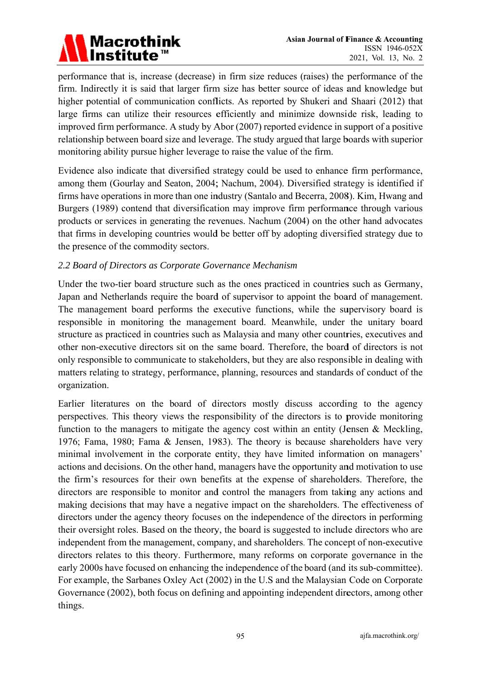

performance that is, increase (decrease) in firm size reduces (raises) the performance of the firm. Indirectly it is said that larger firm size has better source of ideas and knowledge but higher potential of communication conflicts. As reported by Shukeri and Shaari (2012) that large firms can utilize their resources efficiently and minimize downside risk, leading to improved firm performance. A study by Abor (2007) reported evidence in support of a positive relationship between board size and leverage. The study argued that large boards with superior monitoring ability pursue higher leverage to raise the value of the firm.

Evidence also indicate that diversified strategy could be used to enhance firm performance, among them (Gourlay and Seaton, 2004; Nachum, 2004). Diversified strategy is identified if firms have operations in more than one industry (Santalo and Becerra, 2008). Kim, Hwang and Burgers (1989) contend that diversification may improve firm performance through various products or services in generating the revenues. Nachum (2004) on the other hand advocates that firms in developing countries would be better off by adopting diversified strategy due to the presence of the commodity sectors.

#### 2.2 Board of Directors as Corporate Governance Mechanism

Under the two-tier board structure such as the ones practiced in countries such as Germany, Japan and Netherlands require the board of supervisor to appoint the board of management. The management board performs the executive functions, while the supervisory board is responsible in monitoring the management board. Meanwhile, under the unitary board structure as practiced in countries such as Malaysia and many other countries, executives and other non-executive directors sit on the same board. Therefore, the board of directors is not only responsible to communicate to stakeholders, but they are also responsible in dealing with matters relating to strategy, performance, planning, resources and standards of conduct of the organization.

Earlier literatures on the board of directors mostly discuss according to the agency perspectives. This theory views the responsibility of the directors is to provide monitoring function to the managers to mitigate the agency cost within an entity (Jensen  $\&$  Meckling, 1976; Fama, 1980; Fama & Jensen, 1983). The theory is because shareholders have very minimal involvement in the corporate entity, they have limited information on managers' actions and decisions. On the other hand, managers have the opportunity and motivation to use the firm's resources for their own benefits at the expense of shareholders. Therefore, the directors are responsible to monitor and control the managers from taking any actions and making decisions that may have a negative impact on the shareholders. The effectiveness of directors under the agency theory focuses on the independence of the directors in performing their oversight roles. Based on the theory, the board is suggested to include directors who are independent from the management, company, and shareholders. The concept of non-executive directors relates to this theory. Furthermore, many reforms on corporate governance in the early 2000s have focused on enhancing the independence of the board (and its sub-committee). For example, the Sarbanes Oxley Act (2002) in the U.S and the Malaysian Code on Corporate Governance (2002), both focus on defining and appointing independent directors, among other things.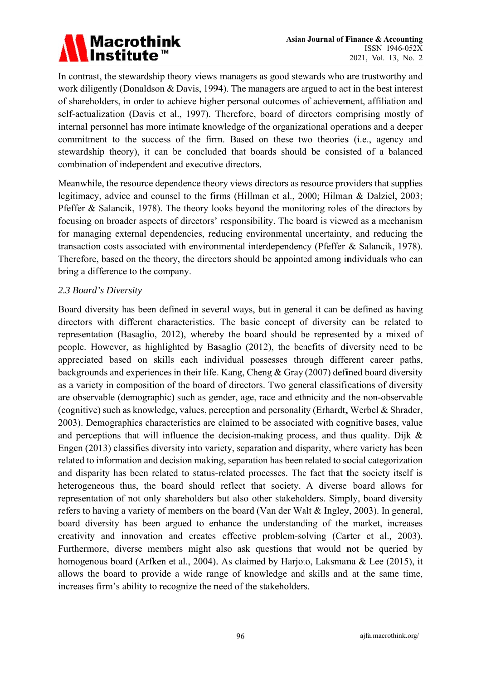# Macrothink<br>Institute™

In contrast, the stewardship theory views managers as good stewards who are trustworthy and work diligently (Donaldson & Davis, 1994). The managers are argued to act in the best interest of shareholders, in order to achieve higher personal outcomes of achievement, affiliation and self-actualization (Davis et al., 1997). Therefore, board of directors comprising mostly of internal personnel has more intimate knowledge of the organizational operations and a deeper commitment to the success of the firm. Based on these two theories (i.e., agency and stewardship theory), it can be concluded that boards should be consisted of a balanced combination of independent and executive directors.

Meanwhile, the resource dependence theory views directors as resource providers that supplies legitimacy, advice and counsel to the firms (Hillman et al., 2000; Hilman & Dalziel, 2003; Pfeffer & Salancik, 1978). The theory looks beyond the monitoring roles of the directors by focusing on broader aspects of directors' responsibility. The board is viewed as a mechanism for managing external dependencies, reducing environmental uncertainty, and reducing the transaction costs associated with environmental interdependency (Pfeffer & Salancik, 1978). Therefore, based on the theory, the directors should be appointed among individuals who can bring a difference to the company.

#### 2.3 Board's Diversity

Board diversity has been defined in several ways, but in general it can be defined as having directors with different characteristics. The basic concept of diversity can be related to representation (Basaglio, 2012), whereby the board should be represented by a mixed of people. However, as highlighted by Basaglio (2012), the benefits of diversity need to be appreciated based on skills each individual possesses through different career paths, backgrounds and experiences in their life. Kang, Cheng & Gray (2007) defined board diversity as a variety in composition of the board of directors. Two general classifications of diversity are observable (demographic) such as gender, age, race and ethnicity and the non-observable (cognitive) such as knowledge, values, perception and personality (Erhardt, Werbel & Shrader, 2003). Demographics characteristics are claimed to be associated with cognitive bases, value and perceptions that will influence the decision-making process, and thus quality. Dijk  $\&$ Engen (2013) classifies diversity into variety, separation and disparity, where variety has been related to information and decision making, separation has been related to social categorization and disparity has been related to status-related processes. The fact that the society itself is heterogeneous thus, the board should reflect that society. A diverse board allows for representation of not only shareholders but also other stakeholders. Simply, board diversity refers to having a variety of members on the board (Van der Walt & Ingley, 2003). In general, board diversity has been argued to enhance the understanding of the market, increases creativity and innovation and creates effective problem-solving (Carter et al., 2003). Furthermore, diverse members might also ask questions that would not be queried by homogenous board (Arfken et al., 2004). As claimed by Harjoto, Laksmana & Lee (2015), it allows the board to provide a wide range of knowledge and skills and at the same time, increases firm's ability to recognize the need of the stakeholders.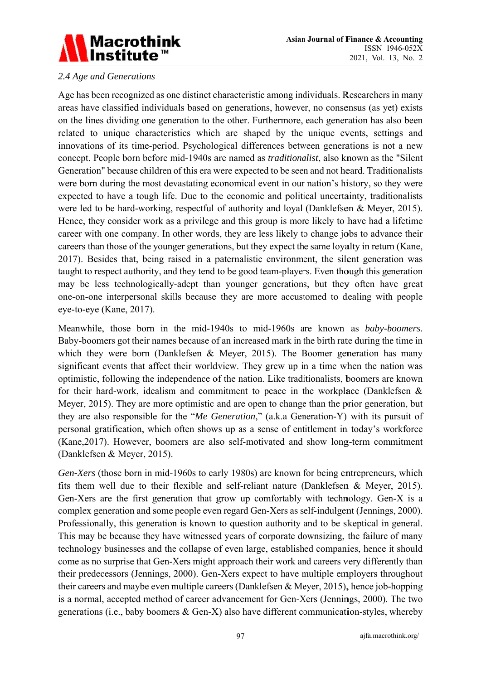

#### 2.4 Age and Generations

Age has been recognized as one distinct characteristic among individuals. Researchers in many areas have classified individuals based on generations, however, no consensus (as yet) exists on the lines dividing one generation to the other. Furthermore, each generation has also been related to unique characteristics which are shaped by the unique events, settings and innovations of its time-period. Psychological differences between generations is not a new concept. People born before mid-1940s are named as *traditionalist*, also known as the "Silent" Generation" because children of this era were expected to be seen and not heard. Traditionalists were born during the most devastating economical event in our nation's history, so they were expected to have a tough life. Due to the economic and political uncertainty, traditionalists were led to be hard-working, respectful of authority and loyal (Danklefsen & Meyer, 2015). Hence, they consider work as a privilege and this group is more likely to have had a lifetime career with one company. In other words, they are less likely to change jobs to advance their careers than those of the younger generations, but they expect the same loyalty in return (Kane, 2017). Besides that, being raised in a paternalistic environment, the silent generation was taught to respect authority, and they tend to be good team-players. Even though this generation may be less technologically-adept than younger generations, but they often have great one-on-one interpersonal skills because they are more accustomed to dealing with people eye-to-eye (Kane, 2017).

Meanwhile, those born in the mid-1940s to mid-1960s are known as *baby-boomers*. Baby-boomers got their names because of an increased mark in the birth rate during the time in which they were born (Danklefsen & Meyer, 2015). The Boomer generation has many significant events that affect their worldview. They grew up in a time when the nation was optimistic, following the independence of the nation. Like traditionalists, boomers are known for their hard-work, idealism and commitment to peace in the workplace (Danklefsen  $\&$ Meyer, 2015). They are more optimistic and are open to change than the prior generation, but they are also responsible for the "Me Generation," (a.k.a Generation-Y) with its pursuit of personal gratification, which often shows up as a sense of entitlement in today's workforce (Kane, 2017). However, boomers are also self-motivated and show long-term commitment (Danklefsen & Meyer, 2015).

Gen-Xers (those born in mid-1960s to early 1980s) are known for being entrepreneurs, which fits them well due to their flexible and self-reliant nature (Danklefsen & Meyer, 2015). Gen-Xers are the first generation that grow up comfortably with technology. Gen-X is a complex generation and some people even regard Gen-Xers as self-indulgent (Jennings, 2000). Professionally, this generation is known to question authority and to be skeptical in general. This may be because they have witnessed years of corporate downsizing, the failure of many technology businesses and the collapse of even large, established companies, hence it should come as no surprise that Gen-Xers might approach their work and careers very differently than their predecessors (Jennings, 2000). Gen-Xers expect to have multiple employers throughout their careers and maybe even multiple careers (Danklefsen & Meyer, 2015), hence job-hopping is a normal, accepted method of career advancement for Gen-Xers (Jennings, 2000). The two generations (i.e., baby boomers  $\&$  Gen-X) also have different communication-styles, whereby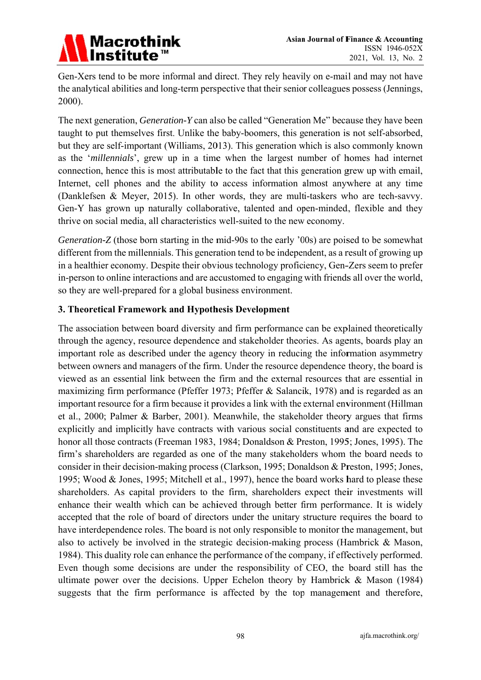

Gen-Xers tend to be more informal and direct. They rely heavily on e-mail and may not have the analytical abilities and long-term perspective that their senior colleagues possess (Jennings, 2000).

The next generation, *Generation-Y* can also be called "Generation Me" because they have been taught to put themselves first. Unlike the baby-boomers, this generation is not self-absorbed, but they are self-important (Williams, 2013). This generation which is also commonly known as the 'millennials', grew up in a time when the largest number of homes had internet connection, hence this is most attributable to the fact that this generation grew up with email, Internet, cell phones and the ability to access information almost anywhere at any time (Danklefsen & Meyer, 2015). In other words, they are multi-taskers who are tech-savvy. Gen-Y has grown up naturally collaborative, talented and open-minded, flexible and they thrive on social media, all characteristics well-suited to the new economy.

Generation-Z (those born starting in the mid-90s to the early '00s) are poised to be somewhat different from the millennials. This generation tend to be independent, as a result of growing up in a healthier economy. Despite their obvious technology proficiency, Gen-Zers seem to prefer in-person to online interactions and are accustomed to engaging with friends all over the world, so they are well-prepared for a global business environment.

#### 3. Theoretical Framework and Hypothesis Development

The association between board diversity and firm performance can be explained theoretically through the agency, resource dependence and stakeholder theories. As agents, boards play an important role as described under the agency theory in reducing the information asymmetry between owners and managers of the firm. Under the resource dependence theory, the board is viewed as an essential link between the firm and the external resources that are essential in maximizing firm performance (Pfeffer 1973; Pfeffer & Salancik, 1978) and is regarded as an important resource for a firm because it provides a link with the external environment (Hillman et al., 2000; Palmer & Barber, 2001). Meanwhile, the stakeholder theory argues that firms explicitly and implicitly have contracts with various social constituents and are expected to honor all those contracts (Freeman 1983, 1984; Donaldson & Preston, 1995; Jones, 1995). The firm's shareholders are regarded as one of the many stakeholders whom the board needs to consider in their decision-making process (Clarkson, 1995; Donaldson & Preston, 1995; Jones, 1995; Wood & Jones, 1995; Mitchell et al., 1997), hence the board works hard to please these shareholders. As capital providers to the firm, shareholders expect their investments will enhance their wealth which can be achieved through better firm performance. It is widely accepted that the role of board of directors under the unitary structure requires the board to have interdependence roles. The board is not only responsible to monitor the management, but also to actively be involved in the strategic decision-making process (Hambrick & Mason, 1984). This duality role can enhance the performance of the company, if effectively performed. Even though some decisions are under the responsibility of CEO, the board still has the ultimate power over the decisions. Upper Echelon theory by Hambrick  $\&$  Mason (1984) suggests that the firm performance is affected by the top management and therefore,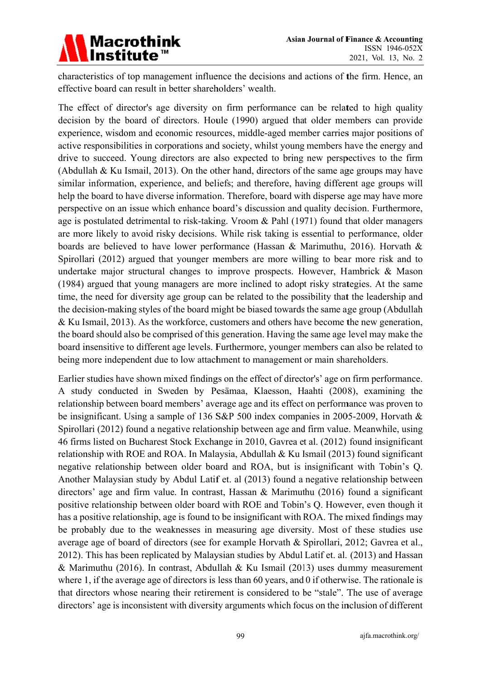

characteristics of top management influence the decisions and actions of the firm. Hence, an effective board can result in better shareholders' wealth.

The effect of director's age diversity on firm performance can be related to high quality decision by the board of directors. Houle (1990) argued that older members can provide experience, wisdom and economic resources, middle-aged member carries major positions of active responsibilities in corporations and society, whilst young members have the energy and drive to succeed. Young directors are also expected to bring new perspectives to the firm (Abdullah & Ku Ismail, 2013). On the other hand, directors of the same age groups may have similar information, experience, and beliefs; and therefore, having different age groups will help the board to have diverse information. Therefore, board with disperse age may have more perspective on an issue which enhance board's discussion and quality decision. Furthermore, age is postulated detrimental to risk-taking. Vroom & Pahl (1971) found that older managers are more likely to avoid risky decisions. While risk taking is essential to performance, older boards are believed to have lower performance (Hassan & Marimuthu, 2016). Horvath & Spirollari (2012) argued that younger members are more willing to bear more risk and to undertake major structural changes to improve prospects. However, Hambrick & Mason (1984) argued that young managers are more inclined to adopt risky strategies. At the same time, the need for diversity age group can be related to the possibility that the leadership and the decision-making styles of the board might be biased towards the same age group (Abdullah & Ku Ismail, 2013). As the workforce, customers and others have become the new generation, the board should also be comprised of this generation. Having the same age level may make the board insensitive to different age levels. Furthermore, younger members can also be related to being more independent due to low attachment to management or main shareholders.

Earlier studies have shown mixed findings on the effect of director's' age on firm performance. A study conducted in Sweden by Pesämaa, Klaesson, Haahti (2008), examining the relationship between board members' average age and its effect on performance was proven to be insignificant. Using a sample of 136 S&P 500 index companies in 2005-2009, Horvath & Spirollari (2012) found a negative relationship between age and firm value. Meanwhile, using 46 firms listed on Bucharest Stock Exchange in 2010, Gavrea et al. (2012) found insignificant relationship with ROE and ROA. In Malaysia, Abdullah & Ku Ismail (2013) found significant negative relationship between older board and ROA, but is insignificant with Tobin's Q. Another Malaysian study by Abdul Latif et. al (2013) found a negative relationship between directors' age and firm value. In contrast, Hassan & Marimuthu (2016) found a significant positive relationship between older board with ROE and Tobin's Q. However, even though it has a positive relationship, age is found to be insignificant with ROA. The mixed findings may be probably due to the weaknesses in measuring age diversity. Most of these studies use average age of board of directors (see for example Horvath & Spirollari, 2012; Gavrea et al., 2012). This has been replicated by Malaysian studies by Abdul Latif et. al. (2013) and Hassan & Marimuthu (2016). In contrast, Abdullah & Ku Ismail (2013) uses dummy measurement where 1, if the average age of directors is less than 60 years, and  $\theta$  if otherwise. The rationale is that directors whose nearing their retirement is considered to be "stale". The use of average directors' age is inconsistent with diversity arguments which focus on the inclusion of different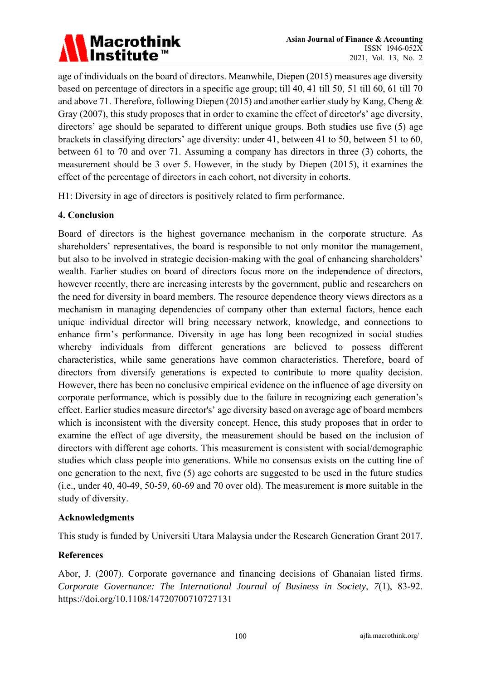# Macrothink<br>Institute™

age of individuals on the board of directors. Meanwhile, Diepen (2015) measures age diversity based on percentage of directors in a specific age group; till 40, 41 till 50, 51 till 60, 61 till 70 and above 71. Therefore, following Diepen (2015) and another earlier study by Kang, Cheng  $\&$ Gray (2007), this study proposes that in order to examine the effect of director's' age diversity, directors' age should be separated to different unique groups. Both studies use five (5) age brackets in classifying directors' age diversity: under 41, between 41 to 50, between 51 to 60, between 61 to 70 and over 71. Assuming a company has directors in three (3) cohorts, the measurement should be 3 over 5. However, in the study by Diepen (2015), it examines the effect of the percentage of directors in each cohort, not diversity in cohorts.

H1: Diversity in age of directors is positively related to firm performance.

### 4. Conclusion

Board of directors is the highest governance mechanism in the corporate structure. As shareholders' representatives, the board is responsible to not only monitor the management, but also to be involved in strategic decision-making with the goal of enhancing shareholders' wealth. Earlier studies on board of directors focus more on the independence of directors, however recently, there are increasing interests by the government, public and researchers on the need for diversity in board members. The resource dependence theory views directors as a mechanism in managing dependencies of company other than external factors, hence each unique individual director will bring necessary network, knowledge, and connections to enhance firm's performance. Diversity in age has long been recognized in social studies whereby individuals from different generations are believed to possess different characteristics, while same generations have common characteristics. Therefore, board of directors from diversify generations is expected to contribute to more quality decision. However, there has been no conclusive empirical evidence on the influence of age diversity on corporate performance, which is possibly due to the failure in recognizing each generation's effect. Earlier studies measure director's' age diversity based on average age of board members which is inconsistent with the diversity concept. Hence, this study proposes that in order to examine the effect of age diversity, the measurement should be based on the inclusion of directors with different age cohorts. This measurement is consistent with social/demographic studies which class people into generations. While no consensus exists on the cutting line of one generation to the next, five (5) age cohorts are suggested to be used in the future studies  $(i.e., under 40, 40-49, 50-59, 60-69, and 70 over old).$  The measurement is more suitable in the study of diversity.

### **Acknowledgments**

This study is funded by Universiti Utara Malaysia under the Research Generation Grant 2017.

### **References**

Abor, J. (2007). Corporate governance and financing decisions of Ghanaian listed firms. Corporate Governance: The International Journal of Business in Society, 7(1), 83-92. https://doi.org/10.1108/14720700710727131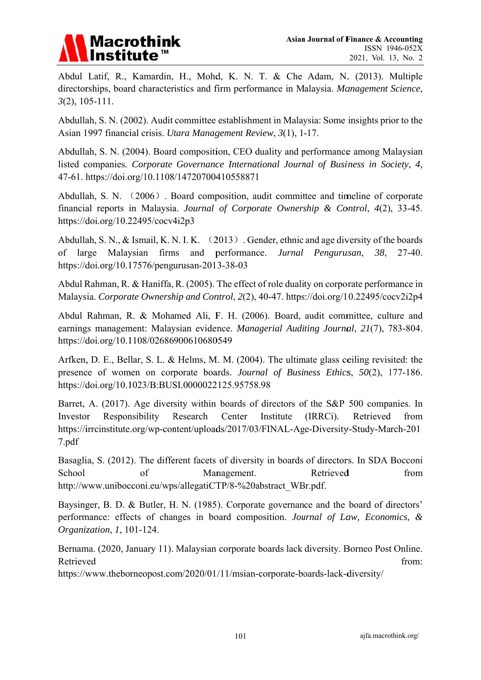

Abdul Latif, R., Kamardin, H., Mohd, K. N. T. & Che Adam, N. (2013). Multiple directorships, board characteristics and firm performance in Malaysia. Management Science,  $3(2)$ , 105-111.

Abdullah, S. N. (2002). Audit committee establishment in Malaysia: Some insights prior to the Asian 1997 financial crisis. *Utara Management Review*, 3(1), 1-17.

Abdullah, S. N. (2004). Board composition, CEO duality and performance among Malaysian listed companies. Corporate Governance International Journal of Business in Society, 4, 47-61. https://doi.org/10.1108/14720700410558871

Abdullah, S. N. (2006). Board composition, audit committee and timeline of corporate financial reports in Malaysia. *Journal of Corporate Ownership & Control*, 4(2), 33-45. https://d doi.org/10.2 22495/cocv4 4i2p3

Abdullah, S. N., & Ismail, K. N. I. K. (2013). Gender, ethnic and age diversity of the boards of lar https://doi.org/10.17576/pengurusan-2013-38-03 rge Malaysian firm ms and performance. *Jurnal Pengurusan*, 38, 27-40.

Abdul Rahman, R. & Haniffa, R. (2005). The effect of role duality on corporate performance in Malaysia. *Corporate Ownership and Control*, 2(2), 40-47. https://doi.org/10.22495/cocv2i2p4

Abdul Rahman, R. & Mohamed Ali, F. H. (2006). Board, audit committee, culture and earnings management: Malaysian evidence. *Managerial Auditing Journal*, 21(7), 783-804. https://doi.org/10.1108/02686900610680549

Arfken, D. E., Bellar, S. L. & Helms, M. M. (2004). The ultimate glass ceiling revisited: the presence of women on corporate boards. *Journal of Business Ethics*, 50(2), 177-186. https://doi.org/10.1023/B:BUSI.0000022125.95758.98

Barret, A. (2017). Age diversity within boards of directors of the S&P 500 companies. In Investor https://irrcinstitute.org/wp-content/uploads/2017/03/FINAL-Age-Diversity-Study-March-201 7.pdf r Responsibility R Research Center Institute (IRRCi). Retrieved from

Basaglia, S. (2012). The different facets of diversity in boards of directors. In SDA Bocconi School http://www.unibocconi.eu/wps/allegatiCTP/8-%20abstract WBr.pdf. of Management. **Retrieved** from

Baysinger, B. D. & Butler, H. N. (1985). Corporate governance and the board of directors' performance: effects of changes in board composition. *Journal of Law, Economics, & Organiz zation*, *1*, 10 01-124.

Bernama. (2020, January 11). Malaysian corporate boards lack diversity. Borneo Post Online. Retriev ed from:

https://www.theborneopost.com/2020/01/11/msian-corporate-boards-lack-diversity/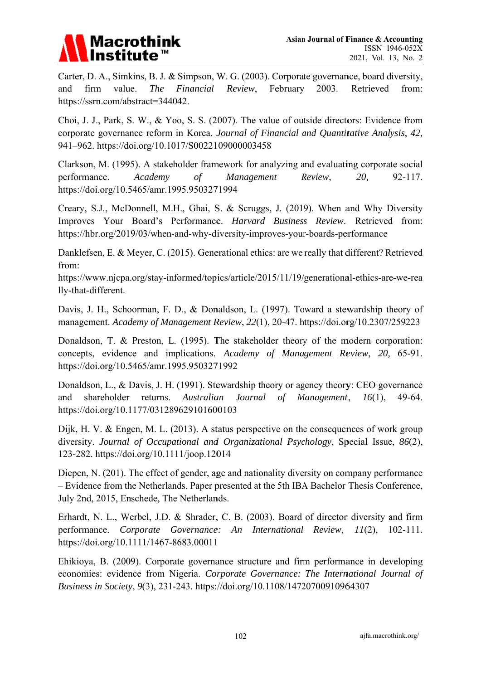

Carter, D. A., Simkins, B. J. & Simpson, W. G. (2003). Corporate governance, board diversity, and firm value. The Financial Review, February 2003. Retrieved from: https://ssrn.com/abstract=344042.

Choi, J. J., Park, S. W., & Yoo, S. S. (2007). The value of outside directors: Evidence from corporate governance reform in Korea. Journal of Financial and Quantitative Analysis, 42, 941-962. https://doi.org/10.1017/S0022109000003458

Clarkson, M. (1995). A stakeholder framework for analyzing and evaluating corporate social performance. Academy  $\sigma f$ Management Review, 20. 92-117. https://doi.org/10.5465/amr.1995.9503271994

Creary, S.J., McDonnell, M.H., Ghai, S. & Scruggs, J. (2019). When and Why Diversity Improves Your Board's Performance. Harvard Business Review. Retrieved from: https://hbr.org/2019/03/when-and-why-diversity-improves-your-boards-performance

Danklefsen, E. & Mever, C. (2015). Generational ethics: are we really that different? Retrieved from:

https://www.njcpa.org/stay-informed/topics/article/2015/11/19/generational-ethics-are-we-rea lly-that-different.

Davis, J. H., Schoorman, F. D., & Donaldson, L. (1997). Toward a stewardship theory of management. Academy of Management Review, 22(1), 20-47. https://doi.org/10.2307/259223

Donaldson, T. & Preston, L. (1995). The stakeholder theory of the modern corporation: concepts, evidence and implications. Academy of Management Review, 20, 65-91. https://doi.org/10.5465/amr.1995.9503271992

Donaldson, L., & Davis, J. H. (1991). Stewardship theory or agency theory: CEO governance shareholder returns. Australian Journal of Management,  $16(1)$ , 49-64. and https://doi.org/10.1177/031289629101600103

Dijk, H. V. & Engen, M. L. (2013). A status perspective on the consequences of work group diversity. Journal of Occupational and Organizational Psychology, Special Issue, 86(2), 123-282. https://doi.org/10.1111/joop.12014

Diepen, N. (201). The effect of gender, age and nationality diversity on company performance - Evidence from the Netherlands. Paper presented at the 5th IBA Bachelor Thesis Conference, July 2nd, 2015, Enschede, The Netherlands.

Erhardt, N. L., Werbel, J.D. & Shrader, C. B. (2003). Board of director diversity and firm performance. Corporate Governance: An International Review, 11(2),  $102 - 111.$ https://doi.org/10.1111/1467-8683.00011

Ehikiova, B. (2009). Corporate governance structure and firm performance in developing economies: evidence from Nigeria. Corporate Governance: The International Journal of Business in Society, 9(3), 231-243. https://doi.org/10.1108/14720700910964307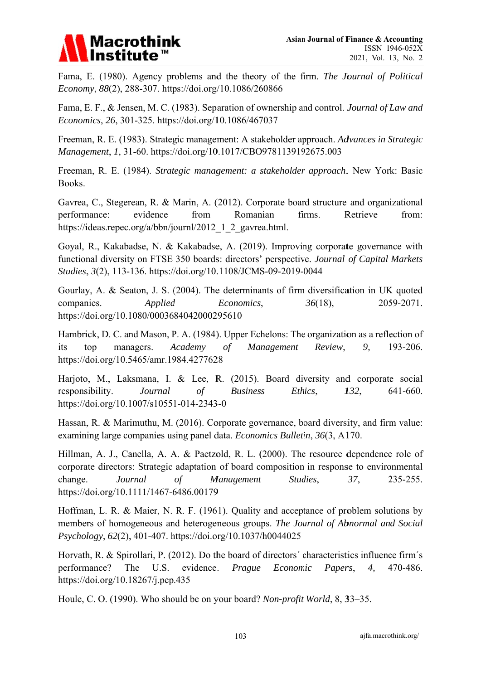# **Macrothink**

Fama, E. (1980). Agency problems and the theory of the firm. The Journal of Political Economy, 88(2), 288-307. https://doi.org/10.1086/260866

Fama, E. F., & Jensen, M. C. (1983). Separation of ownership and control. Journal of Law and Economics, 26, 301-325. https://doi.org/10.1086/467037

Freeman, R. E. (1983). Strategic management: A stakeholder approach. Advances in Strategic Management, 1, 31-60. https://doi.org/10.1017/CBO9781139192675.003

Freeman, R. E. (1984). Strategic management: a stakeholder approach. New York: Basic Books.

Gavrea, C., Stegerean, R. & Marin, A. (2012). Corporate board structure and organizational performance: evidence from Romanian firms. Retrieve from: https://ideas.repec.org/a/bbn/journl/2012 1 2 gavrea.html.

Goyal, R., Kakabadse, N. & Kakabadse, A. (2019). Improving corporate governance with functional diversity on FTSE 350 boards: directors' perspective. Journal of Capital Markets Studies, 3(2), 113-136. https://doi.org/10.1108/JCMS-09-2019-0044

Gourlay, A. & Seaton, J. S. (2004). The determinants of firm diversification in UK quoted companies. Applied Economics,  $36(18)$ , 2059-2071. https://doi.org/10.1080/0003684042000295610

Hambrick, D. C. and Mason, P. A. (1984). Upper Echelons: The organization as a reflection of its top managers. Academy  $\sigma f$ Management Review. 9. 193-206. https://doi.org/10.5465/amr.1984.4277628

Harjoto, M., Laksmana, I. & Lee, R. (2015). Board diversity and corporate social responsibility. 132. 641-660. Journal **Business** Ethics.  $\sigma f$ https://doi.org/10.1007/s10551-014-2343-0

Hassan, R. & Marimuthu, M. (2016). Corporate governance, board diversity, and firm value: examining large companies using panel data. Economics Bulletin, 36(3, A170.

Hillman, A. J., Canella, A. A. & Paetzold, R. L. (2000). The resource dependence role of corporate directors: Strategic adaptation of board composition in response to environmental Management 235-255. change. Journal  $\sigma f$ Studies. 37. https://doi.org/10.1111/1467-6486.00179

Hoffman, L. R. & Maier, N. R. F. (1961). Quality and acceptance of problem solutions by members of homogeneous and heterogeneous groups. The Journal of Abnormal and Social Psychology, 62(2), 401-407. https://doi.org/10.1037/h0044025

Horvath, R. & Spirollari, P. (2012). Do the board of directors' characteristics influence firm's performance? The U.S. evidence. Prague Economic 470-486. Papers,  $\mathcal{A},$ https://doi.org/10.18267/j.pep.435

Houle, C. O. (1990). Who should be on your board? Non-profit World, 8, 33-35.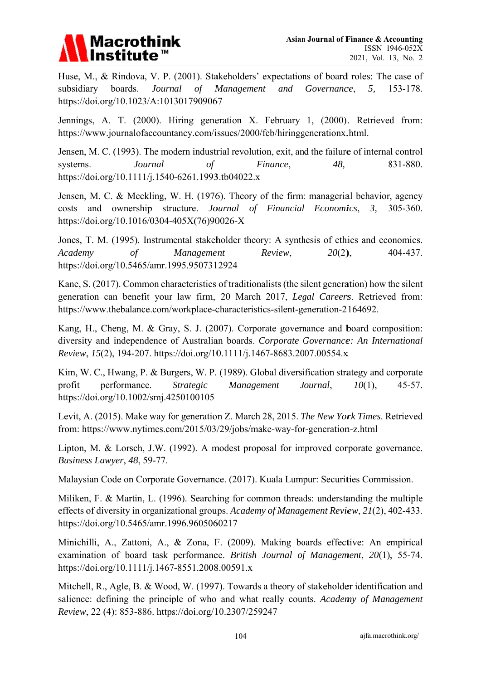

Huse, M., & Rindova, V. P. (2001). Stakeholders' expectations of board roles: The case of subsidiary boards. Journal  $\sigma f$ Management and Governance, 5. 153-178. https://doi.org/10.1023/A:1013017909067

Jennings, A. T. (2000). Hiring generation X. February 1, (2000). Retrieved from: https://www.journalofaccountancy.com/issues/2000/feb/hiringgenerationx.html.

Jensen, M. C. (1993). The modern industrial revolution, exit, and the failure of internal control systems. Journal  $\sigma f$ Finance, 48. 831-880. https://doi.org/10.1111/j.1540-6261.1993.tb04022.x

Jensen, M. C. & Meckling, W. H. (1976). Theory of the firm: managerial behavior, agency costs and ownership structure. Journal of Financial Economics,  $3.$  $305 - 360.$ https://doi.org/10.1016/0304-405X(76)90026-X

Jones, T. M. (1995). Instrumental stakeholder theory: A synthesis of ethics and economics. Academy Management Review.  $20(2)$ , 404-437.  $\sigma f$ https://doi.org/10.5465/amr.1995.9507312924

Kane, S. (2017). Common characteristics of traditionalists (the silent generation) how the silent generation can benefit your law firm, 20 March 2017, Legal Careers, Retrieved from: https://www.thebalance.com/workplace-characteristics-silent-generation-2164692.

Kang, H., Cheng, M. & Gray, S. J. (2007). Corporate governance and board composition: diversity and independence of Australian boards. Corporate Governance: An International Review, 15(2), 194-207. https://doi.org/10.1111/j.1467-8683.2007.00554.x

Kim, W. C., Hwang, P. & Burgers, W. P. (1989). Global diversification strategy and corporate profit performance. **Strategic** Management Journal.  $10(1)$ ,  $45 - 57$ . https://doi.org/10.1002/smj.4250100105

Levit, A. (2015). Make way for generation Z. March 28, 2015. The New York Times. Retrieved from: https://www.nytimes.com/2015/03/29/jobs/make-way-for-generation-z.html

Lipton, M. & Lorsch, J.W. (1992). A modest proposal for improved corporate governance. Business Lawyer, 48, 59-77.

Malaysian Code on Corporate Governance. (2017). Kuala Lumpur: Securities Commission.

Miliken, F. & Martin, L. (1996). Searching for common threads: understanding the multiple effects of diversity in organizational groups. Academy of Management Review, 21(2), 402-433. https://doi.org/10.5465/amr.1996.9605060217

Minichilli, A., Zattoni, A., & Zona, F. (2009). Making boards effective: An empirical examination of board task performance. British Journal of Management, 20(1), 55-74. https://doi.org/10.1111/j.1467-8551.2008.00591.x

Mitchell, R., Agle, B. & Wood, W. (1997). Towards a theory of stakeholder identification and salience: defining the principle of who and what really counts. Academy of Management Review, 22 (4): 853-886. https://doi.org/10.2307/259247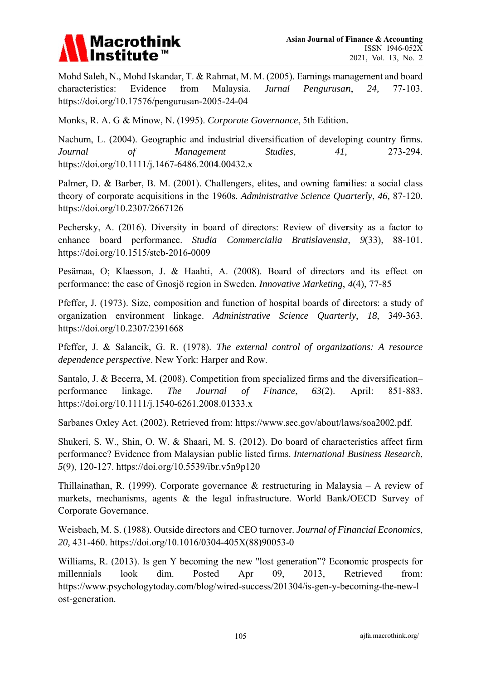

Mohd Saleh, N., Mohd Iskandar, T. & Rahmat, M. M. (2005). Earnings management and board characteristics: Evidence from Malaysia. **Jurnal** Pengurusan, 24.  $77-103.$ https://doi.org/10.17576/pengurusan-2005-24-04

Monks, R. A. G & Minow, N. (1995). Corporate Governance, 5th Edition.

Nachum, L. (2004). Geographic and industrial diversification of developing country firms. Journal  $\sigma f$ Management Studies.  $41.$ 273-294. https://doi.org/10.1111/j.1467-6486.2004.00432.x

Palmer, D. & Barber, B. M. (2001). Challengers, elites, and owning families: a social class theory of corporate acquisitions in the 1960s. Administrative Science Quarterly, 46, 87-120. https://doi.org/10.2307/2667126

Pechersky, A. (2016). Diversity in board of directors: Review of diversity as a factor to enhance board performance. Studia Commercialia Bratislavensia, 9(33), 88-101. https://doi.org/10.1515/stcb-2016-0009

Pesämaa, O; Klaesson, J. & Haahti, A. (2008). Board of directors and its effect on performance: the case of Gnosjö region in Sweden. *Innovative Marketing*, 4(4), 77-85

Pfeffer, J. (1973). Size, composition and function of hospital boards of directors: a study of organization environment linkage. Administrative Science Quarterly, 18, 349-363. https://doi.org/10.2307/2391668

Pfeffer, J. & Salancik, G. R. (1978). The external control of organizations: A resource *dependence perspective.* New York: Harper and Row.

Santalo, J. & Becerra, M. (2008). Competition from specialized firms and the diversification-The Journal Finance, performance linkage.  $\sigma f$  $63(2)$ . April: 851-883. https://doi.org/10.1111/j.1540-6261.2008.01333.x

Sarbanes Oxley Act. (2002). Retrieved from: https://www.sec.gov/about/laws/soa2002.pdf.

Shukeri, S. W., Shin, O. W. & Shaari, M. S. (2012). Do board of characteristics affect firm performance? Evidence from Malaysian public listed firms. International Business Research, 5(9), 120-127. https://doi.org/10.5539/ibr.v5n9p120

Thillainathan, R. (1999). Corporate governance & restructuring in Malaysia – A review of markets, mechanisms, agents & the legal infrastructure. World Bank/OECD Survey of Corporate Governance.

Weisbach, M. S. (1988). Outside directors and CEO turnover. Journal of Financial Economics, 20, 431-460. https://doi.org/10.1016/0304-405X(88)90053-0

Williams, R. (2013). Is gen Y becoming the new "lost generation"? Economic prospects for millennials  $look$ dim. Posted Apr 09. 2013, Retrieved from: https://www.psychologytoday.com/blog/wired-success/201304/is-gen-y-becoming-the-new-l ost-generation.